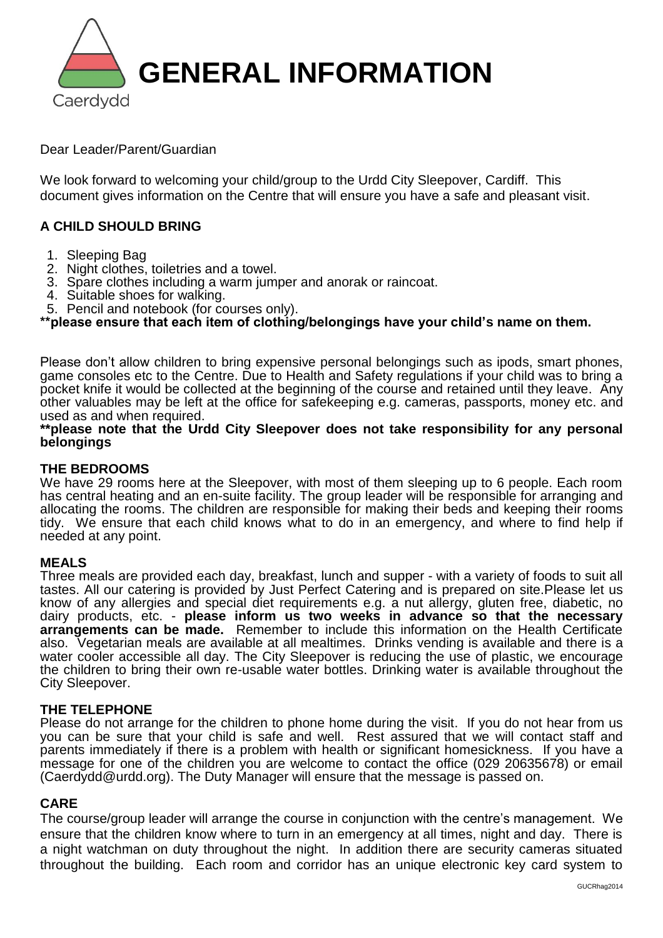

Dear Leader/Parent/Guardian

We look forward to welcoming your child/group to the Urdd City Sleepover, Cardiff. This document gives information on the Centre that will ensure you have a safe and pleasant visit.

# **A CHILD SHOULD BRING**

- 1. Sleeping Bag
- 2. Night clothes, toiletries and a towel.
- 3. Spare clothes including a warm jumper and anorak or raincoat.
- 4. Suitable shoes for walking.
- 5. Pencil and notebook (for courses only).

**\*\*please ensure that each item of clothing/belongings have your child's name on them.**

Please don't allow children to bring expensive personal belongings such as ipods, smart phones, game consoles etc to the Centre. Due to Health and Safety regulations if your child was to bring a pocket knife it would be collected at the beginning of the course and retained until they leave. Any other valuables may be left at the office for safekeeping e.g. cameras, passports, money etc. and used as and when required.

## **\*\*please note that the Urdd City Sleepover does not take responsibility for any personal belongings**

# **THE BEDROOMS**

We have 29 rooms here at the Sleepover, with most of them sleeping up to 6 people. Each room has central heating and an en-suite facility. The group leader will be responsible for arranging and allocating the rooms. The children are responsible for making their beds and keeping their rooms tidy. We ensure that each child knows what to do in an emergency, and where to find help if needed at any point.

# **MEALS**

Three meals are provided each day, breakfast, lunch and supper - with a variety of foods to suit all tastes. All our catering is provided by Just Perfect Catering and is prepared on site.Please let us know of any allergies and special diet requirements e.g. a nut allergy, gluten free, diabetic, no dairy products, etc. - **please inform us two weeks in advance so that the necessary arrangements can be made.** Remember to include this information on the Health Certificate also. Vegetarian meals are available at all mealtimes. Drinks vending is available and there is a water cooler accessible all day. The City Sleepover is reducing the use of plastic, we encourage the children to bring their own re-usable water bottles. Drinking water is available throughout the City Sleepover.

# **THE TELEPHONE**

Please do not arrange for the children to phone home during the visit. If you do not hear from us you can be sure that your child is safe and well. Rest assured that we will contact staff and parents immediately if there is a problem with health or significant homesickness. If you have a message for one of the children you are welcome to contact the office (029 20635678) or email (Caerdydd@urdd.org). The Duty Manager will ensure that the message is passed on.

# **CARE**

The course/group leader will arrange the course in conjunction with the centre's management. We ensure that the children know where to turn in an emergency at all times, night and day. There is a night watchman on duty throughout the night. In addition there are security cameras situated throughout the building. Each room and corridor has an unique electronic key card system to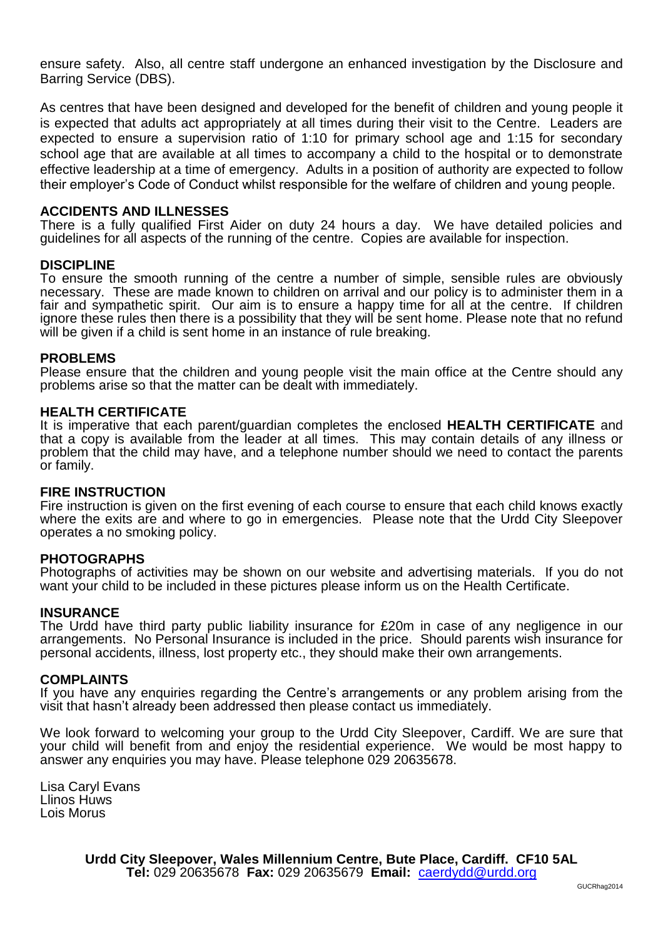ensure safety. Also, all centre staff undergone an enhanced investigation by the Disclosure and Barring Service (DBS).

As centres that have been designed and developed for the benefit of children and young people it is expected that adults act appropriately at all times during their visit to the Centre. Leaders are expected to ensure a supervision ratio of 1:10 for primary school age and 1:15 for secondary school age that are available at all times to accompany a child to the hospital or to demonstrate effective leadership at a time of emergency. Adults in a position of authority are expected to follow their employer's Code of Conduct whilst responsible for the welfare of children and young people.

# **ACCIDENTS AND ILLNESSES**

There is a fully qualified First Aider on duty 24 hours a day. We have detailed policies and guidelines for all aspects of the running of the centre. Copies are available for inspection.

### **DISCIPLINE**

To ensure the smooth running of the centre a number of simple, sensible rules are obviously necessary. These are made known to children on arrival and our policy is to administer them in a fair and sympathetic spirit. Our aim is to ensure a happy time for all at the centre. If children ignore these rules then there is a possibility that they will be sent home. Please note that no refund will be given if a child is sent home in an instance of rule breaking.

### **PROBLEMS**

Please ensure that the children and young people visit the main office at the Centre should any problems arise so that the matter can be dealt with immediately.

### **HEALTH CERTIFICATE**

It is imperative that each parent/guardian completes the enclosed **HEALTH CERTIFICATE** and that a copy is available from the leader at all times. This may contain details of any illness or problem that the child may have, and a telephone number should we need to contact the parents or family.

#### **FIRE INSTRUCTION**

Fire instruction is given on the first evening of each course to ensure that each child knows exactly where the exits are and where to go in emergencies. Please note that the Urdd City Sleepover operates a no smoking policy.

#### **PHOTOGRAPHS**

Photographs of activities may be shown on our website and advertising materials. If you do not want your child to be included in these pictures please inform us on the Health Certificate.

#### **INSURANCE**

The Urdd have third party public liability insurance for £20m in case of any negligence in our arrangements. No Personal Insurance is included in the price. Should parents wish insurance for personal accidents, illness, lost property etc., they should make their own arrangements.

#### Ĩ **COMPLAINTS**

If you have any enquiries regarding the Centre's arrangements or any problem arising from the visit that hasn't already been addressed then please contact us immediately.

We look forward to welcoming your group to the Urdd City Sleepover, Cardiff. We are sure that your child will benefit from and enjoy the residential experience. We would be most happy to answer any enquiries you may have. Please telephone 029 20635678.

Lisa Caryl Evans Llinos Huws Lois Morus

> **Urdd City Sleepover, Wales Millennium Centre, Bute Place, Cardiff. CF10 5AL Tel:** 029 20635678 **Fax:** 029 20635679 **Email:** [caerdydd@urdd.org](mailto:caerdydd@urdd.org)